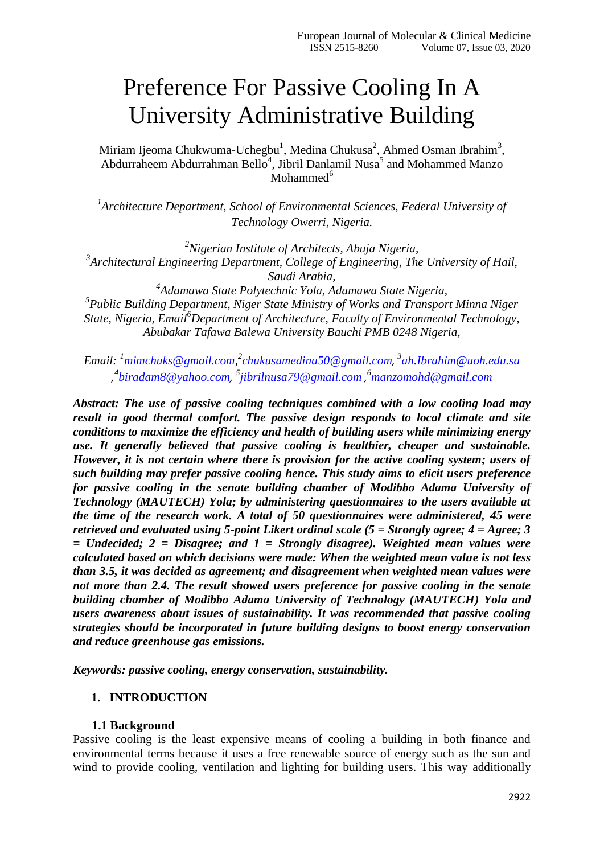# Preference For Passive Cooling In A University Administrative Building

Miriam Ijeoma Chukwuma-Uchegbu<sup>1</sup>, Medina Chukusa<sup>2</sup>, Ahmed Osman Ibrahim<sup>3</sup>, Abdurraheem Abdurrahman Bello<sup>4</sup>, Jibril Danlamil Nusa<sup>5</sup> and Mohammed Manzo Mohammed $<sup>6</sup>$ </sup>

<sup>1</sup> Architecture Department, School of Environmental Sciences, Federal University of *Technology Owerri, Nigeria.*

*<sup>2</sup>Nigerian Institute of Architects, Abuja Nigeria, 3 Architectural Engineering Department, College of Engineering, The University of Hail, Saudi Arabia,*

*4 Adamawa State Polytechnic Yola, Adamawa State Nigeria, 5 Public Building Department, Niger State Ministry of Works and Transport Minna Niger State, Nigeria, Email<sup>6</sup>Department of Architecture, Faculty of Environmental Technology, Abubakar Tafawa Balewa University Bauchi PMB 0248 Nigeria,*

*Email: <sup>1</sup>[mimchuks@gmail.com,](mailto:mimchuks@gmail.com) 2 [chukusamedina50@gmail.com](mailto:chukusamedina50@gmail.com), 3 [ah.Ibrahim@uoh.edu.sa](mailto:ah.Ibrahim@uoh.edu.sa) , 4 [biradam8@yahoo.com](mailto:biradam8@yahoo.com), 5 [jibrilnusa79@gmail.com](mailto:jibrilnusa79@gmail.com) , <sup>6</sup>manzomohd@gmail.com*

*Abstract: The use of passive cooling techniques combined with a low cooling load may result in good thermal comfort. The passive design responds to local climate and site conditions to maximize the efficiency and health of building users while minimizing energy use. It generally believed that passive cooling is healthier, cheaper and sustainable. However, it is not certain where there is provision for the active cooling system; users of such building may prefer passive cooling hence. This study aims to elicit users preference for passive cooling in the senate building chamber of Modibbo Adama University of Technology (MAUTECH) Yola; by administering questionnaires to the users available at the time of the research work. A total of 50 questionnaires were administered, 45 were retrieved and evaluated using 5-point Likert ordinal scale (5 = Strongly agree; 4 = Agree; 3 = Undecided; 2 = Disagree; and 1 = Strongly disagree). Weighted mean values were calculated based on which decisions were made: When the weighted mean value is not less than 3.5, it was decided as agreement; and disagreement when weighted mean values were not more than 2.4. The result showed users preference for passive cooling in the senate building chamber of Modibbo Adama University of Technology (MAUTECH) Yola and users awareness about issues of sustainability. It was recommended that passive cooling strategies should be incorporated in future building designs to boost energy conservation and reduce greenhouse gas emissions.* 

*Keywords: passive cooling, energy conservation, sustainability.* 

## **1. INTRODUCTION**

## **1.1 Background**

Passive cooling is the least expensive means of cooling a building in both finance and environmental terms because it uses a free renewable source of energy such as the sun and wind to provide cooling, ventilation and lighting for building users. This way additionally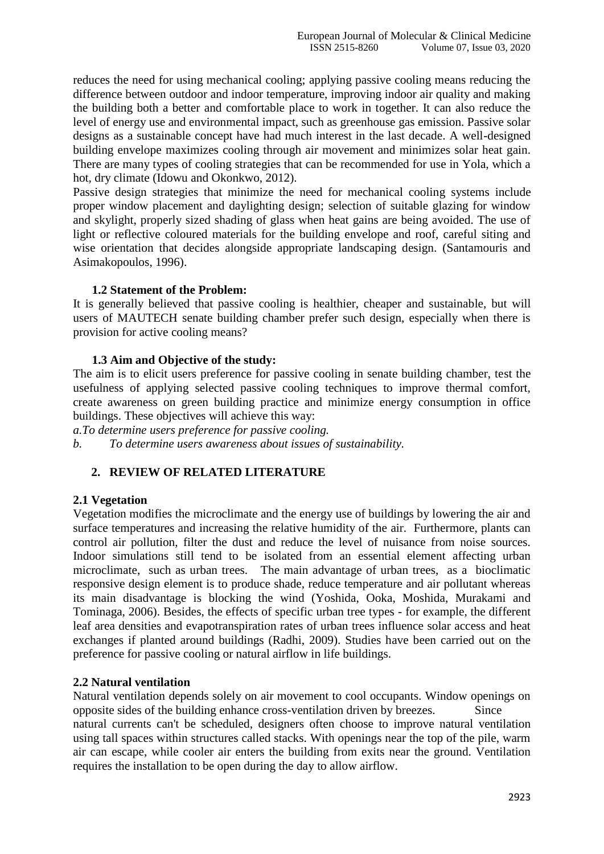reduces the need for using mechanical cooling; applying passive cooling means reducing the difference between outdoor and indoor temperature, improving indoor air quality and making the building both a better and comfortable place to work in together. It can also reduce the level of energy use and environmental impact, such as greenhouse gas emission. Passive solar designs as a sustainable concept have had much interest in the last decade. A well-designed building envelope maximizes cooling through air movement and minimizes solar heat gain. There are many types of cooling strategies that can be recommended for use in Yola, which a hot, dry climate (Idowu and Okonkwo, 2012).

Passive design strategies that minimize the need for mechanical cooling systems include proper window placement and daylighting design; selection of suitable glazing for window and skylight, properly sized shading of glass when heat gains are being avoided. The use of light or reflective coloured materials for the building envelope and roof, careful siting and wise orientation that decides alongside appropriate landscaping design. (Santamouris and Asimakopoulos, 1996).

#### **1.2 Statement of the Problem:**

It is generally believed that passive cooling is healthier, cheaper and sustainable, but will users of MAUTECH senate building chamber prefer such design, especially when there is provision for active cooling means?

#### **1.3 Aim and Objective of the study:**

The aim is to elicit users preference for passive cooling in senate building chamber, test the usefulness of applying selected passive cooling techniques to improve thermal comfort, create awareness on green building practice and minimize energy consumption in office buildings. These objectives will achieve this way:

*a.To determine users preference for passive cooling.*

*b. To determine users awareness about issues of sustainability.*

## **2. REVIEW OF RELATED LITERATURE**

## **2.1 Vegetation**

Vegetation modifies the microclimate and the energy use of buildings by lowering the air and surface temperatures and increasing the relative humidity of the air. Furthermore, plants can control air pollution, filter the dust and reduce the level of nuisance from noise sources. Indoor simulations still tend to be isolated from an essential element affecting urban microclimate, such as urban trees. The main advantage of urban trees, as a bioclimatic responsive design element is to produce shade, reduce temperature and air pollutant whereas its main disadvantage is blocking the wind (Yoshida, Ooka, Moshida, Murakami and Tominaga, 2006). Besides, the effects of specific urban tree types - for example, the different leaf area densities and evapotranspiration rates of urban trees influence solar access and heat exchanges if planted around buildings (Radhi, 2009). Studies have been carried out on the preference for passive cooling or natural airflow in life buildings.

## **2.2 Natural ventilation**

Natural ventilation depends solely on air movement to cool occupants. Window openings on opposite sides of the building enhance cross-ventilation driven by breezes. Since

natural currents can't be scheduled, designers often choose to improve natural ventilation using tall spaces within structures called stacks. With openings near the top of the pile, warm air can escape, while cooler air enters the building from exits near the ground. Ventilation requires the installation to be open during the day to allow airflow.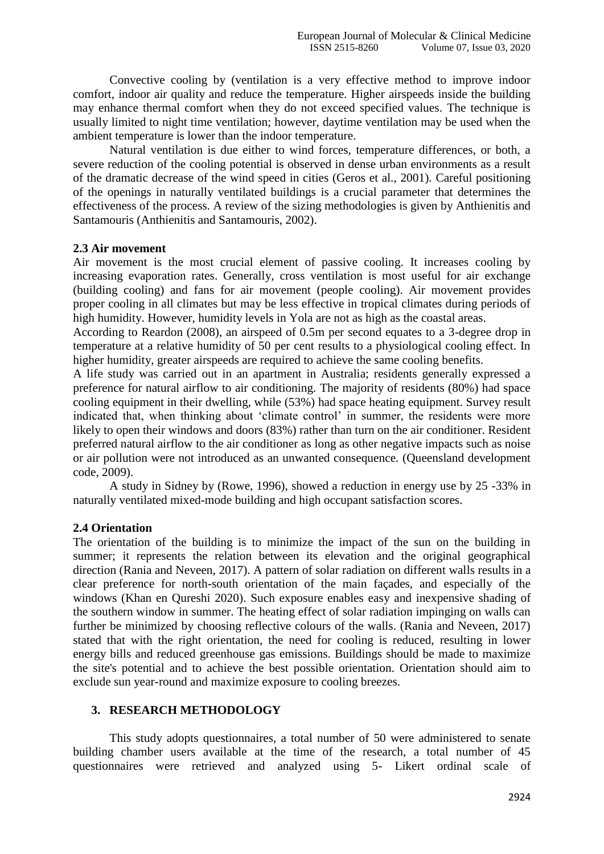Convective cooling by (ventilation is a very effective method to improve indoor comfort, indoor air quality and reduce the temperature. Higher airspeeds inside the building may enhance thermal comfort when they do not exceed specified values. The technique is usually limited to night time ventilation; however, daytime ventilation may be used when the ambient temperature is lower than the indoor temperature.

Natural ventilation is due either to wind forces, temperature differences, or both, a severe reduction of the cooling potential is observed in dense urban environments as a result of the dramatic decrease of the wind speed in cities (Geros et al., 2001). Careful positioning of the openings in naturally ventilated buildings is a crucial parameter that determines the effectiveness of the process. A review of the sizing methodologies is given by Anthienitis and Santamouris (Anthienitis and Santamouris, 2002).

#### **2.3 Air movement**

Air movement is the most crucial element of passive cooling. It increases cooling by increasing evaporation rates. Generally, cross ventilation is most useful for air exchange (building cooling) and fans for air movement (people cooling). Air movement provides proper cooling in all climates but may be less effective in tropical climates during periods of high humidity. However, humidity levels in Yola are not as high as the coastal areas.

According to Reardon (2008), an airspeed of 0.5m per second equates to a 3-degree drop in temperature at a relative humidity of 50 per cent results to a physiological cooling effect. In higher humidity, greater airspeeds are required to achieve the same cooling benefits.

A life study was carried out in an apartment in Australia; residents generally expressed a preference for natural airflow to air conditioning. The majority of residents (80%) had space cooling equipment in their dwelling, while (53%) had space heating equipment. Survey result indicated that, when thinking about "climate control" in summer, the residents were more likely to open their windows and doors (83%) rather than turn on the air conditioner. Resident preferred natural airflow to the air conditioner as long as other negative impacts such as noise or air pollution were not introduced as an unwanted consequence. (Queensland development code, 2009).

A study in Sidney by (Rowe, 1996), showed a reduction in energy use by 25 -33% in naturally ventilated mixed-mode building and high occupant satisfaction scores.

## **2.4 Orientation**

The orientation of the building is to minimize the impact of the sun on the building in summer; it represents the relation between its elevation and the original geographical direction (Rania and Neveen, 2017). A pattern of solar radiation on different walls results in a clear preference for north-south orientation of the main façades, and especially of the windows (Khan en Qureshi 2020). Such exposure enables easy and inexpensive shading of the southern window in summer. The heating effect of solar radiation impinging on walls can further be minimized by choosing reflective colours of the walls. (Rania and Neveen, 2017) stated that with the right orientation, the need for cooling is reduced, resulting in lower energy bills and reduced greenhouse gas emissions. Buildings should be made to maximize the site's potential and to achieve the best possible orientation. Orientation should aim to exclude sun year-round and maximize exposure to cooling breezes.

#### **3. RESEARCH METHODOLOGY**

This study adopts questionnaires, a total number of 50 were administered to senate building chamber users available at the time of the research, a total number of 45 questionnaires were retrieved and analyzed using 5- Likert ordinal scale of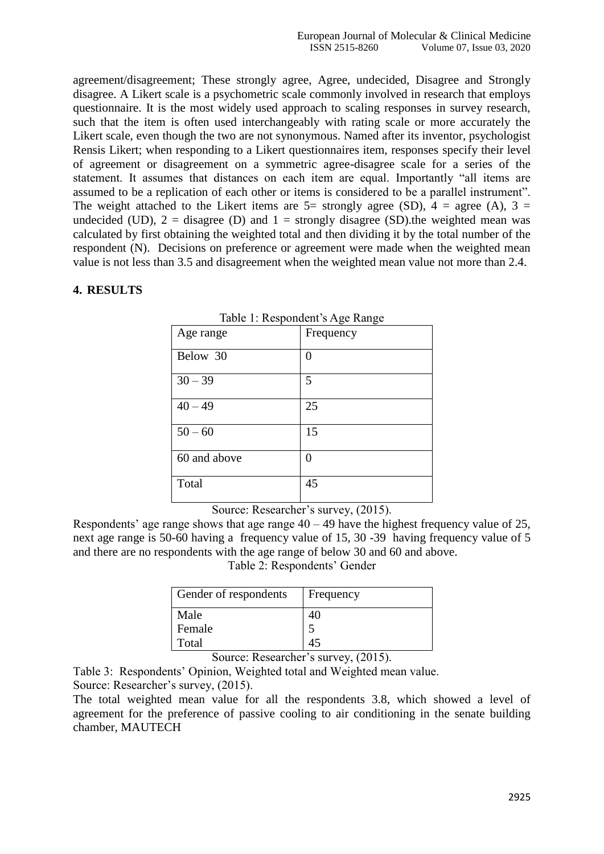agreement/disagreement; These strongly agree, Agree, undecided, Disagree and Strongly disagree. A Likert scale is a psychometric scale commonly involved in research that employs questionnaire. It is the most widely used approach to scaling responses in survey research, such that the item is often used interchangeably with rating scale or more accurately the Likert scale, even though the two are not synonymous. Named after its inventor, psychologist Rensis Likert; when responding to a Likert questionnaires item, responses specify their level of agreement or disagreement on a symmetric agree-disagree scale for a series of the statement. It assumes that distances on each item are equal. Importantly "all items are assumed to be a replication of each other or items is considered to be a parallel instrument". The weight attached to the Likert items are  $5=$  strongly agree (SD),  $4=$  agree (A),  $3=$ undecided (UD),  $2 =$  disagree (D) and  $1 =$  strongly disagree (SD). the weighted mean was calculated by first obtaining the weighted total and then dividing it by the total number of the respondent (N). Decisions on preference or agreement were made when the weighted mean value is not less than 3.5 and disagreement when the weighted mean value not more than 2.4.

#### **4. RESULTS**

| raore 1. Respondent s'i que rumpe |           |  |  |  |  |
|-----------------------------------|-----------|--|--|--|--|
| Age range                         | Frequency |  |  |  |  |
| Below 30                          | 0         |  |  |  |  |
| $30 - 39$                         | 5         |  |  |  |  |
| $40 - 49$                         | 25        |  |  |  |  |
| $50 - 60$                         | 15        |  |  |  |  |
| 60 and above                      | 0         |  |  |  |  |
| Total                             | 45        |  |  |  |  |

|  |  | Table 1: Respondent's Age Range |  |  |
|--|--|---------------------------------|--|--|
|  |  |                                 |  |  |

Source: Researcher's survey,  $(2015)$ .

Respondents' age range shows that age range  $40 - 49$  have the highest frequency value of 25, next age range is 50-60 having a frequency value of 15, 30 -39 having frequency value of 5 and there are no respondents with the age range of below 30 and 60 and above.

Table 2: Respondents' Gender

| Gender of respondents | Frequency |
|-----------------------|-----------|
| Male                  |           |
| Female                |           |
| Total                 |           |

Source: Researcher's survey,  $(2015)$ .

Table 3: Respondents" Opinion, Weighted total and Weighted mean value. Source: Researcher's survey,  $(2015)$ .

The total weighted mean value for all the respondents 3.8, which showed a level of agreement for the preference of passive cooling to air conditioning in the senate building chamber, MAUTECH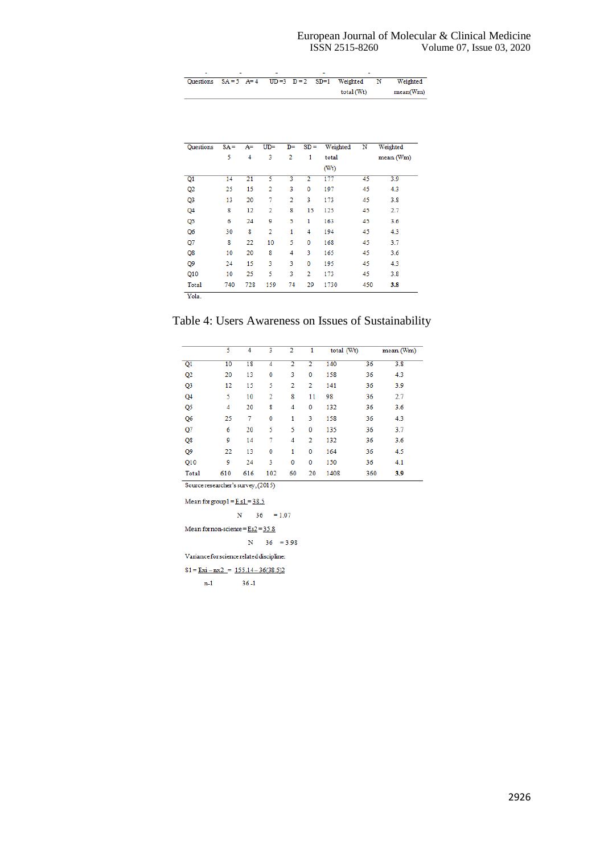| Questions $SA = 5$ $A = 4$ $UD = 3$ $D = 2$ $SD = 1$ Weighted |  |  |            | N | Weighted |
|---------------------------------------------------------------|--|--|------------|---|----------|
|                                                               |  |  | total (Wt) |   | mean(Wm) |

| Questions | $SA =$ | A=  | $UD =$ | D= | $SD =$         | Weighted | N   | Weighted  |
|-----------|--------|-----|--------|----|----------------|----------|-----|-----------|
|           | 5      | 4   | 3      | 2  | 1              | total    |     | mean (Wm) |
|           |        |     |        |    |                | (Wt)     |     |           |
| Q1        | 14     | 21  | 5      | 3  | 2              | 177      | 45  | 3.9       |
| Q2        | 25     | 15  | 2      | 3  | $\mathbf 0$    | 197      | 45  | 4.3       |
| Q3        | 13     | 20  | 7      | 2  | 3              | 173      | 45  | 3.8       |
| Q4        | 8      | 12  | 2      | 8  | 15             | 125      | 45  | 2.7       |
| Q5        | 6      | 24  | 9      | 5  | 1              | 163      | 45  | 3.6       |
| Q6        | 30     | 8   | 2      | 1  | 4              | 194      | 45  | 4.3       |
| Q7        | 8      | 22  | 10     | 5  | 0              | 168      | 45  | 3.7       |
| Q8        | 10     | 20  | 8      | 4  | 3              | 165      | 45  | 3.6       |
| Q9        | 24     | 15  | 3      | 3  | 0              | 195      | 45  | 4.3       |
| Q10       | 10     | 25  | 5      | 3  | $\overline{2}$ | 173      | 45  | 3.8       |
| Total     | 740    | 728 | 159    | 74 | 29             | 1730     | 450 | 3.8       |

Table 4: Users Awareness on Issues of Sustainability

|                                    | 5   | 4   | 3   | 2  | 1  | total (Wt) |     | mean (Wm) |  |
|------------------------------------|-----|-----|-----|----|----|------------|-----|-----------|--|
| Q1                                 | 10  | 18  | 4   | 2  | 2  | 140        | 36  | 3.8       |  |
| Q <sub>2</sub>                     | 20  | 13  | 0   | 3  | 0  | 158        | 36  | 4.3       |  |
| Q <sub>3</sub>                     | 12  | 15  | 5   | 2  | 2  | 141        | 36  | 3.9       |  |
| Q4                                 | 5   | 10  | 2   | 8  | 11 | 98         | 36  | 2.7       |  |
| Q5                                 | 4   | 20  | 8   | 4  | 0  | 132        | 36  | 3.6       |  |
| Q6                                 | 25  | 7   | 0   | 1  | 3  | 158        | 36  | 4.3       |  |
| Q7                                 | 6   | 20  | 5   | 5  | 0  | 135        | 36  | 3.7       |  |
| Q8                                 | 9   | 14  | 7   | 4  | 2  | 132        | 36  | 3.6       |  |
| Q9                                 | 22  | 13  | 0   | 1  | 0  | 164        | 36  | 4.5       |  |
| Q10                                | 9   | 24  | 3   | 0  | 0  | 150        | 36  | 4.1       |  |
| Total                              | 610 | 616 | 102 | 60 | 20 | 1408       | 360 | 3.9       |  |
| Source researcher's survey, (2015) |     |     |     |    |    |            |     |           |  |

Mean for group<br>1 =  $\underline{E}$  s1 = 38.5

 $N = 36 = 1.07$ 

Mean for non-science =  $\underline{\text{Es2}}$  = 35.8

 $N = 36 = 3.98$ 

Variance for science related discipline:

 $S1 = Exi - nx2 = 155.14 - 36(38.5)2$ 

 $n-1$  36-1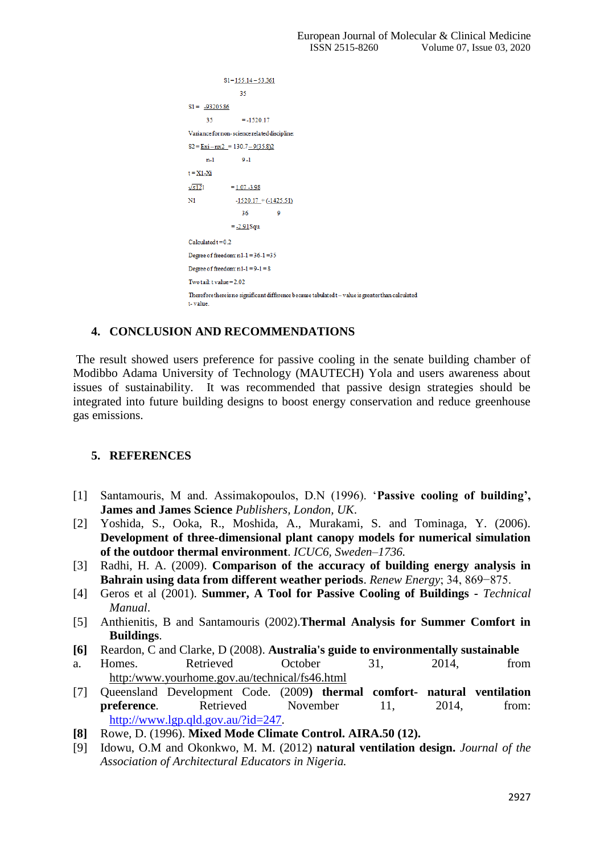```
S1 = 155.14 - 53.36135S1 = -93205.8635= -1520.17Variance for non-science related discipline:
S2 = Exi - nx2 = 130.7 - 9(35.8)2n-19 - 1t = \underline{X1 - Xi}\sqrt{s12}1= 1.07 - 3.98\overline{\rm N1}-1520.17 + (-1425.51)36\overline{9}= -2.91Squ
Calculated t = 0.2Degree of freedom: n1-1 = 36-1 = 35Degree of freedom: n1-1=9-1=8Two tail: t value = 2.02Therefore there is no significant difference because tabulated t-value is greater than calculated
t-value
```
## **4. CONCLUSION AND RECOMMENDATIONS**

The result showed users preference for passive cooling in the senate building chamber of Modibbo Adama University of Technology (MAUTECH) Yola and users awareness about issues of sustainability. It was recommended that passive design strategies should be integrated into future building designs to boost energy conservation and reduce greenhouse gas emissions.

## **5. REFERENCES**

- [1] Santamouris, M and. Assimakopoulos, D.N (1996). "**Passive cooling of building', James and James Science** *Publishers, London, UK*.
- [2] Yoshida, S., Ooka, R., Moshida, A., Murakami, S. and Tominaga, Y. (2006). **Development of three-dimensional plant canopy models for numerical simulation of the outdoor thermal environment**. *ICUC6, Sweden–1736.*
- [3] Radhi, H. A. (2009). **Comparison of the accuracy of building energy analysis in Bahrain using data from different weather periods**. *Renew Energy*; 34, 869−875.
- [4] Geros et al (2001). **Summer, A Tool for Passive Cooling of Buildings -** *Technical Manual*.
- [5] Anthienitis, B and Santamouris (2002).**Thermal Analysis for Summer Comfort in Buildings**.
- **[6]** Reardon, C and Clarke, D (2008). **Australia's guide to environmentally sustainable**
- a. Homes. Retrieved October 31, 2014, from http:/www.yourhome.gov.au/technical/fs46.html
- [7] Queensland Development Code. (2009**) thermal comfort- natural ventilation preference.** Retrieved November 11, 2014, from: [http://www.lgp.qld.gov.au/?id=247.](http://www.lgp.qld.gov.au/?id=247)
- **[8]** Rowe, D. (1996). **Mixed Mode Climate Control. AIRA.50 (12).**
- [9] Idowu, O.M and Okonkwo, M. M. (2012) **natural ventilation design.** *Journal of the Association of Architectural Educators in Nigeria.*